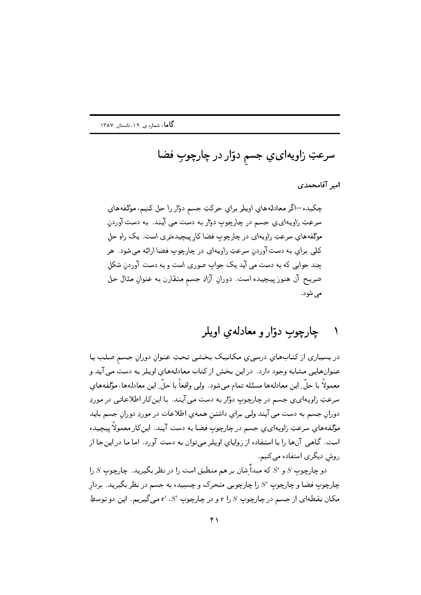سرعتِ زاويهايءِ جسم دوّار در چارچوبِ فضا

امير آقامحمدي

چکیده—اگر معادلههای اویلر برای حرکتِ جسم دوار را حل کنیم، مؤلفههای سرعتِ زاویـهای،ی جسم در چارچوب دوار بـه دست می آیـند. بـه دست آوردن مؤلفههای سرعتِ زاویهای در چارچوب فضا کار پیچیدهتری است. یک راو حل کلمي براي به دست آوردن سرعتِ زاويهاي در چارچوب فضا ارائه مې شود. هر چند جوابی که به دست می آید یک جواب صوری است و به دست آوردن شکل صريح آن هنوز پيچيده است. دورانِ آزادِ جسم متقارن بـه عنوانِ مثال حل مے شود.

## چارچوب دوّار و معادله ی اویلر

در بسیاری از کتابهای درسی ی مکانیک بخشی تحتِ عنوان دوران جسم صلب یا عنوانهایی مشابه وجود دارد. در این بخش از کتاب معادلههای اویلر به دست می آید و معمولاً با حلَّ ِ اين معادلهها مسئله تمام مي شود. ۖ ولي واقعاً با حلَّ ِ اين معادلهها، مؤلفههاي سرعتِ زاویهای ی جسم در چارچوب دوّار به دست می آیند. با این کار اطلاعاتی در موردِ دوران جسم به دست می آیند ولی برای داشتن همهی اطلاعات در موردِ دوران جسم باید مؤلفههاي سرعتِ زاويهايءِ جسم در چارچوبِ فضا به دست آيند. اين٤لار معمولاً يبچيده است. گاهی آنها را با استفاده از زوایای اویلر میتوان به دست آورد. اما ما در اینجا از روش دیگری استفاده میکنیم.

دو چارچوب  $S$  و 5⁄2 که مبداً ِشان بر هم منطبق است را در نظر بگیرید. چارچوب  $S$  را چارچوبِ فضا و چارچوبِ  $S'$  را چارچوبی متحرک و چسبیده به جسم در نظر بگیرید. بردار مکان نقطهای از جسم در چارچوب  $S$  را r و در چارچوب  $S'$ ، 'r میگیریم. این دو توسطِ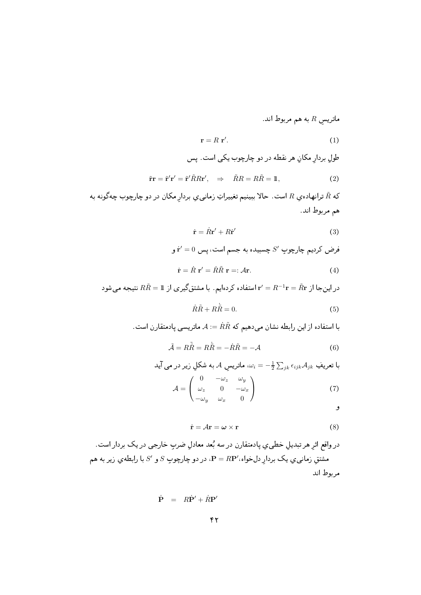ماتریس  $R$  به هم مربوط اند.

$$
\mathbf{r} = R \mathbf{r}'.\tag{1}
$$

طول بردار مکان هر نقطه در دو چارچوب یکی است. پس

$$
\tilde{\mathbf{r}}\mathbf{r} = \tilde{\mathbf{r}}'\mathbf{r}' = \tilde{\mathbf{r}}'\tilde{R}R\mathbf{r}', \quad \Rightarrow \quad \tilde{R}R = R\tilde{R} = \mathbb{1},\tag{2}
$$

که  $\tilde{R}$  ترانهاده $_2$  است. حالا ببینیم تغییراتِ زمانی $_2$  بردارِ مکان در دو چارچوب چهگونه به هم مربوط اند.

$$
\dot{\mathbf{r}} = \dot{R}\mathbf{r}' + R\dot{\mathbf{r}}'
$$
 (3)

فرض کردیم چارچوب 7
$$
S'
$$
 چسبیدہ به جسم است، پس 1 $t'$  و

$$
\dot{\mathbf{r}} = \dot{R} \mathbf{r}' = \dot{R}\tilde{R} \mathbf{r} =: \mathcal{A}\mathbf{r}.\tag{4}
$$

در این جا از 
$$
R\tilde{R} = n^{-1}\mathbf{r} = \tilde{R}\mathbf{r}
$$
 استفاده کردهایم. با مشتقگیری از  $R\tilde{R} = 1$  نتیجه میشود  
\n $R\tilde{R} + R\tilde{R} = 0.$  (5)

$$
\lambda := \dot{R} \tilde{R}
$$
 ستفاده از این رابطه نشان میدهیم که  $\dot{R} \tilde{R} =: A$  ماتریسی پادمتقارن است.

$$
\tilde{\mathcal{A}} = R\tilde{R} = R\dot{\tilde{R}} = -\dot{R}\tilde{R} = -\mathcal{A}
$$
\n(6)

با تعريفِ م
$$
\mathcal{A}_{jk} = -\frac{1}{2} \sum_{jk} \epsilon_{ijk} \mathcal{A}_{jk}
$$
ا  
$$
\mathcal{A} = \begin{pmatrix} 0 & -\omega_z & \omega_y \\ \omega_z & 0 & -\omega_x \\ -\omega_y & \omega_x & 0 \end{pmatrix}
$$
 (7)

و

$$
\dot{\mathbf{r}} = \mathcal{A}\mathbf{r} = \boldsymbol{\omega} \times \mathbf{r} \tag{8}
$$

$$
\dot{\mathbf{P}} = R\dot{\mathbf{P}}' + \dot{R}\mathbf{P}'
$$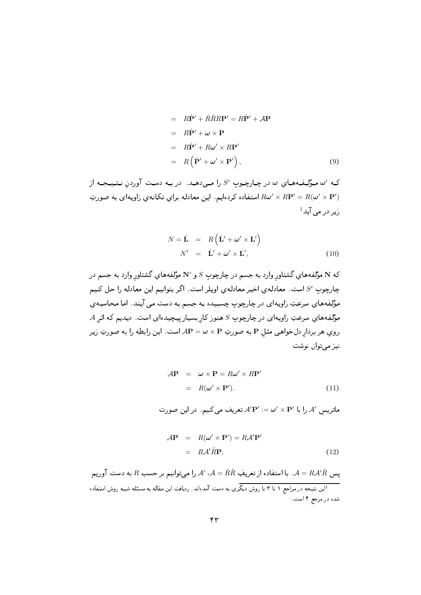$$
= R\dot{\mathbf{P}}' + \dot{R}\tilde{R}R\mathbf{P}' = R\dot{\mathbf{P}}' + \mathcal{A}\mathbf{P}
$$
  
\n
$$
= R\dot{\mathbf{P}}' + \boldsymbol{\omega} \times \mathbf{P}
$$
  
\n
$$
= R\dot{\mathbf{P}}' + R\boldsymbol{\omega}' \times R\mathbf{P}'
$$
  
\n
$$
= R(\dot{\mathbf{P}}' + \boldsymbol{\omega}' \times \mathbf{P}'),
$$
 (9)

که '*نه م*وَّلـفـههـاي نه در چـارچـوبِ 'S را مـی‹هـد. در بـه دسـت اوردنِ نـتـیـجـه از استفاده كردهايم. اين معادله براي تكانهي زاويهاى به صورت R $\bm{\omega}'\times R{\bf P}'=R(\bm{\omega}'\times{\bf P}')$  $^1$ زیر در مے آید  $^1$ 

$$
N = \dot{\mathbf{L}} = R(\dot{\mathbf{L}}' + \boldsymbol{\omega}' \times \mathbf{L}') N' = \dot{\mathbf{L}}' + \boldsymbol{\omega}' \times \mathbf{L}',
$$
 (10)

كه N مؤلفههاي گشتاورِ وارد به جسم در چارچوبِ S و 'N مؤلفههاي گشتاورِ وارد به جسم در چارچوب /S است. معادلهي اخير معادلهي اويلر است. اگر بتوانيم اين معادله را حل كنيم  > \*2( 9 0- 7; \$2 >;E ^ EE - 0 D  +O]  ${\mathcal A}$ مؤلفههاي سرعتِ زاويهاى در چارچوبِ  $S$  هنوز كارِ بسيار پيچيدهاى است. ديديم كه اثرِ روي هر بردارِ دلخواهي مثلِ P به صورتِ P × W = w است. اين رابطه را به صورتِ زير نيز ميتوان نوشت

$$
\mathcal{A}\mathbf{P} = \boldsymbol{\omega} \times \mathbf{P} = R\boldsymbol{\omega}' \times R\mathbf{P}'
$$
  
=  $R(\boldsymbol{\omega}' \times \mathbf{P}').$  (11)

ماتريسِ 'A را با 'A'**P :** $\omega' \times$  **تعر**يف مىكنيم. در اين صورت

$$
\mathcal{A}\mathbf{P} = R(\boldsymbol{\omega}' \times \mathbf{P}') = R\mathcal{A}'\mathbf{P}'
$$
  
=  $R\mathcal{A}'\tilde{R}\mathbf{P}.$  (12)

یس  $A = R \mathcal{A}'\tilde{R}$ . با استفاده از تعریفِ  $\tilde{R}\tilde{R}$ ،  $\mathcal{A}' = \tilde{R}\tilde{R}$  را می توانیم بر حسب  $R$  به دست آوریم این نتیجه در مراجع ۱ تا ۳ با روشِ دیگری به دست آمدهاند. رهیافتِ این مقاله به مسئله شبیهِ روشِ استفاده $^1$  $\sum_{i=1}^{n}$  . By  $\sum_{i=1}^{n}$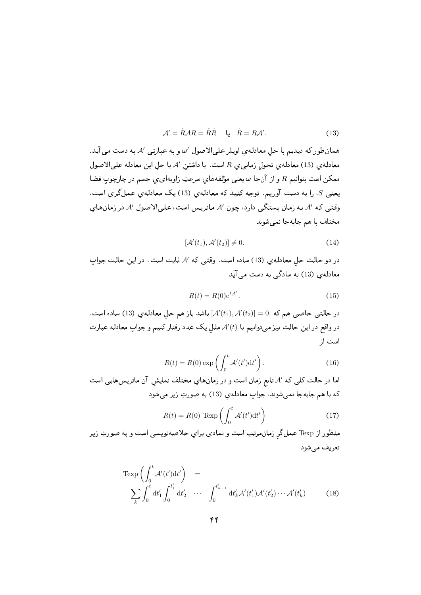$$
A' = \tilde{R}AR = \tilde{R}\tilde{R} \quad \downarrow \quad \tilde{R} = R\mathcal{A}'. \tag{13}
$$

همانطور كه ديديم با حل معادلهي اويلر علىالاصول 'له و به عبارتي 'A به دست مي آيد. معادله ي (13) معادله ي تحول زماني ي R است. با داشتن /A با حل اين معادله على الاصول ممکن است بتوانیم R و از آنجا  $\omega$  یعنی مؤلفههای سرعتِ زاویهای ی جسم در چارچوب فضا یعنبی S، را به دست آوریم. توجه کنید که معادلهی (13) یک معادلهی عملگری است. وقتبی که ⁄A به زمان بستگبی دارد، چون ⁄A ماتریس است، علبیالاصول ⁄A در زمانهای مختلف با هم جابهجا نمى شوند

$$
[\mathcal{A}'(t_1), \mathcal{A}'(t_2)] \neq 0. \tag{14}
$$

در دو حالت حلِ معادلهي (13) ساده است. وقتبي كه /A ثابت است. در اين حالت جواب معادلهی (13) به سادگی به دست می آید

$$
R(t) = R(0)e^{t\mathcal{A}'}.
$$
\n(15)

. در حالتبی خاصبی هم که . $\mathcal{A}'(t_1), \mathcal{A}'(t_2)]=0.$  باشد باز هم حل معادله $(13)$  ساده است. در واقع در این حالت نیز می توانیم با (t/) مثل یک عدد رفتار کنیم و جواب معادله عبارت است ا;

$$
R(t) = R(0) \exp\left(\int_0^t \mathcal{A}'(t')dt'\right). \tag{16}
$$

اما در حالت کلی که ⁄4 تابع زمان است و در زمانهای مختلف نمایش آن ماتریس هایی است كه با هم جابهجا نمي شوند، جواب معادلهي (13) به صورتِ زير مي شود

$$
R(t) = R(0) \text{ Texp}\left(\int_0^t \mathcal{A}'(t')dt'\right) \tag{17}
$$

منظور از Texp عملگر زمان مرتب است و نمادی برای خلاصه نویسی است و به صورتِ زیر تعريف مي شود

$$
\operatorname{Texp}\left(\int_0^t \mathcal{A}'(t')dt'\right) = \sum_k \int_0^t \mathrm{d}t'_1 \int_0^{t'_1} \mathrm{d}t'_2 \cdots \int_0^{t'_{k-1}} \mathrm{d}t'_k \mathcal{A}'(t'_1) \mathcal{A}'(t'_2) \cdots \mathcal{A}'(t'_k) \tag{18}
$$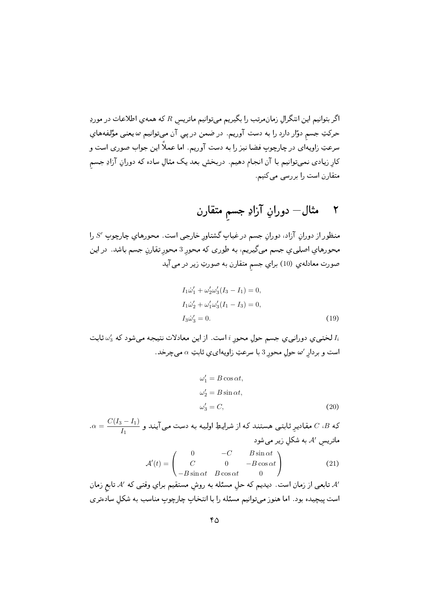اگر بتوانیم این انتگرال زمانمرتب را بگیریم میتوانیم ماتریس  $R$  که همهی اطلاعات در موردِ حرکتِ جسم دوّار دارد را به دست آوریم. در ضمن در پی آن میةوانیم  $\omega$ یعنی مؤلفههای سرعتِ زاویهای در چارچوب فضا نیز را به دست آوریم. اما عملاً این جواب صوری است و کار زیادی نمیتوانیم با آن انجام دهیم. دربخش بعد یک مثالِ ساده که دورانِ آزادِ جسم متقارن است را بررسی می کنیم.

## مثال— دورانِ آزادِ جسم متقارن ۲

منظور از دوران آزاد، دوران جسم درغیاب گشتاور خارجی است. محورهای چارچوب 'S را محورهاي اصليي جسم مي گيريم، به طوري كه محور 3 محور تقارنِ جسم باشد. در اين صورت معادلهي (10) براي جسم متقارن به صورتِ زير در مي آيد

$$
I_1\dot{\omega}_1' + \omega_2'\omega_3'(I_3 - I_1) = 0,
$$
  
\n
$$
I_1\dot{\omega}_2' + \omega_1'\omega_3'(I_1 - I_3) = 0,
$$
  
\n
$$
I_3\dot{\omega}_3' = 0.
$$
\n(19)

لختبی ی دورانبی ی جسم حول محور i است. از این معادلات نتیجه میشود که  $\omega'_3$  ثابت  $I_i$ است و بردار ٬س حول محور 3 با سرعتِ زاویهای ی ثابتِ  $\alpha$  می چرخد.

$$
\omega'_1 = B \cos \alpha t,
$$
  
\n
$$
\omega'_2 = B \sin \alpha t,
$$
  
\n
$$
\omega'_3 = C,
$$
\n(20)

 $\alpha = \frac{C(I_3 - I_1)}{I_1}$  که  $C$  ، $B$  مقادیرِ ثابتی هستند که از شرایطِ اولیه به دست می آیند و ماتریس ⁄A به شکل زیر می شود

$$
\mathcal{A}'(t) = \begin{pmatrix}\n0 & -C & B\sin\alpha t \\
C & 0 & -B\cos\alpha t \\
-B\sin\alpha t & B\cos\alpha t & 0\n\end{pmatrix}
$$
\n(21)

⁄A تابعی از زمان است. دیدیم که حل مسئله به روش مستقیم برایِ وقتی که ⁄A تابع زمان است پیچیده بود. اما هنوز میتوانیم مسئله را با انتخاب چارچوب مناسب به شکل سادهتری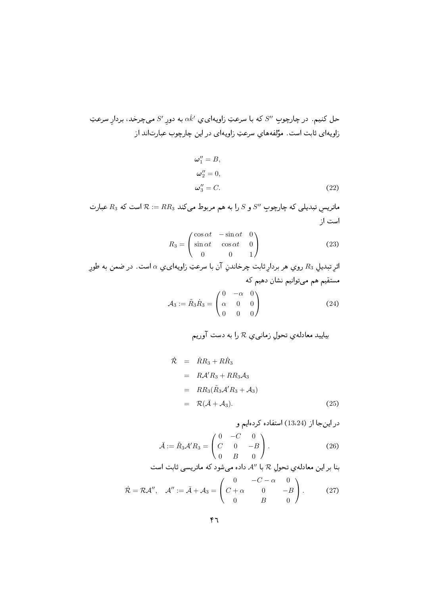حل کنیم. در چارچوبِ "S، که با سرعتِ زاویهای یِ  $\hat{k}'$  به دور ای میچرخد، بردار سرعتِ زاویهای ثابت است. مؤلفههای سرعتِ زاویهای در این چارچوب عبارتاند از

$$
\omega_1^{\prime\prime} = B,
$$
  
\n
$$
\omega_2^{\prime\prime} = 0,
$$
  
\n
$$
\omega_3^{\prime\prime} = C.
$$
\n(22)

ماتریسِ تبدیلی که چارچوبِ  $S''$  و  $S$  را به هم مربوط میکند  $RR_3$   $\approx$  است که  $R_3$  عبارت است از

$$
R_3 = \begin{pmatrix} \cos \alpha t & -\sin \alpha t & 0 \\ \sin \alpha t & \cos \alpha t & 0 \\ 0 & 0 & 1 \end{pmatrix}
$$
 (23)

اثر تبديل  $R_3$  روي هر بردار ثابت چرخاندنِ آن با سرعتِ زاويهاي، يه است. درضمن به طور مستقیم هم میتوانیم نشان دهیم که  $(0 - \alpha)$ 

$$
\mathcal{A}_3 := \tilde{R}_3 \dot{R}_3 = \begin{pmatrix} 0 & \alpha & 0 \\ \alpha & 0 & 0 \\ 0 & 0 & 0 \end{pmatrix} \tag{24}
$$

$$
\begin{aligned}\n\dot{\mathcal{R}} &= \dot{R}R_3 + R\dot{R}_3\\
&= R\mathcal{A}'R_3 + RR_3\mathcal{A}_3\\
&= RR_3(\tilde{R}_3\mathcal{A}'R_3 + \mathcal{A}_3)\\
&= R(\bar{\mathcal{A}} + \mathcal{A}_3).\n\end{aligned} \tag{25}
$$

$$
\bar{A} := \tilde{R}_3 \mathcal{A}' R_3 = \begin{pmatrix} 0 & -C & 0 \\ C & 0 & -B \\ 0 & B & 0 \end{pmatrix} . \tag{26}
$$

بنا بر این معادلهي تحولِ 
$$
\mathcal{R}
$$
 با "A داده میشود که ماتریسي ثابت است  
\n
$$
\dot{\mathcal{R}} = \mathcal{R}\mathcal{A}^{\prime\prime}, \quad \mathcal{A}^{\prime\prime} := \bar{\mathcal{A}} + \mathcal{A}_3 = \begin{pmatrix} 0 & -C - \alpha & 0 \\ C + \alpha & 0 & -B \\ 0 & B & 0 \end{pmatrix}.
$$
 (27)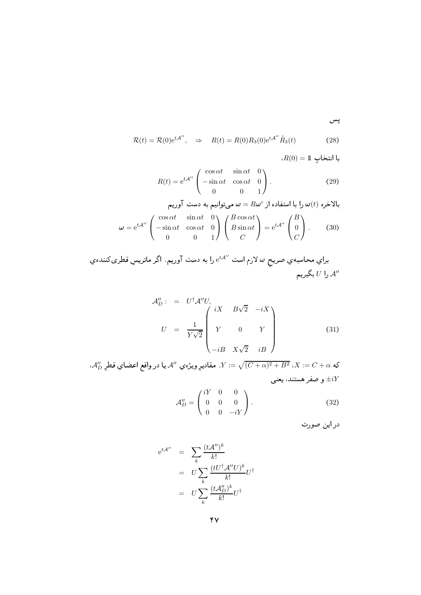$$
\mathcal{R}(t) = \mathcal{R}(0)e^{t\mathcal{A}''}, \quad \Rightarrow \quad R(t) = R(0)R_3(0)e^{t\mathcal{A}''}\tilde{R}_3(t) \tag{28}
$$

$$
R(0) = 1
$$
\n
$$
R(t) = e^{tA''} \begin{pmatrix} \cos \alpha t & \sin \alpha t & 0 \\ -\sin \alpha t & \cos \alpha t & 0 \\ 0 & 0 & 1 \end{pmatrix}.
$$
\n(29)

$$
\omega = R\omega'
$$
بالاخرو از  $\omega$  (t) سفاده از  $\omega$  =  $R\omega'$   

$$
\omega = e^{t\mathcal{A}''} \begin{pmatrix} \cos \alpha t & \sin \alpha t & 0 \\ -\sin \alpha t & \cos \alpha t & 0 \\ 0 & 0 & 1 \end{pmatrix} \begin{pmatrix} B\cos \alpha t \\ B\sin \alpha t \\ C \end{pmatrix} = e^{t\mathcal{A}''} \begin{pmatrix} B \\ 0 \\ C \end{pmatrix}.
$$
 (30)

براي محاسبهي صريحٍ  $\omega$  لازم است  $\mathrm{e}^{t\mathcal{A}^{\prime\prime}}$  را به دست آوريم. اگر ماتريسِ قطريكنندهي را  $U$  بگيريم  $\mathcal{A}''$ 

$$
\mathcal{A}_{D}'': = U^{\dagger} \mathcal{A}'' U, \qquad\nU = \frac{1}{Y\sqrt{2}} \begin{pmatrix} iX & B\sqrt{2} & -iX \\ Y & 0 & Y \\ -iB & X\sqrt{2} & iB \end{pmatrix} \tag{31}
$$

، ${\cal A}''_D$  كه $C+\alpha:={\cal C}+X:={\sqrt{(C+\alpha)^2+B^2}}$  . مقاديرِ ويژهي  ${\cal A}''$  يا در واقع اعضاي قطرِ و صفر هستند، يعني  $\pm iY$ 

$$
\mathcal{A}_{D}'' = \begin{pmatrix} iY & 0 & 0 \\ 0 & 0 & 0 \\ 0 & 0 & -iY \end{pmatrix}.
$$
 (32)

دراين صورت

$$
e^{t\mathcal{A}''} = \sum_{k} \frac{(t\mathcal{A}'')^{k}}{k!}
$$

$$
= U \sum_{k} \frac{(tU^{\dagger}\mathcal{A}''U)^{k}}{k!} U^{\dagger}
$$

$$
= U \sum_{k} \frac{(t\mathcal{A}''_{D})^{k}}{k!} U^{\dagger}
$$

پس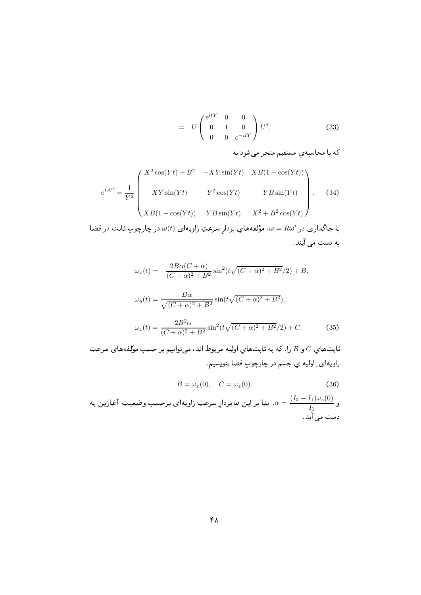$$
= U \begin{pmatrix} e^{itY} & 0 & 0 \\ 0 & 1 & 0 \\ 0 & 0 & e^{-itY} \end{pmatrix} U^{\dagger}, \tag{33}
$$

كه با محاسبهي مستقيم منجر مي شود به

$$
e^{tA''} = \frac{1}{Y^2} \begin{pmatrix} X^2 \cos(Yt) + B^2 & -XY\sin(Yt) & XB(1 - \cos(Yt)) \\\\ XY\sin(Yt) & Y^2\cos(Yt) & -YB\sin(Yt) \\\\ XB(1 - \cos(Yt)) & YB\sin(Yt) & X^2 + B^2\cos(Yt) \end{pmatrix}.
$$
 (34)

با جاگذاری در  $\omega = R$ ، مؤلفههایِ بردارِ سرعتِ زاویهای  $\omega(t)$  در چارچوبِ ثابت در فضا به دست می آیند.

$$
\omega_x(t) = -\frac{2B\alpha(C+\alpha)}{(C+\alpha)^2 + B^2} \sin^2(t\sqrt{(C+\alpha)^2 + B^2}/2) + B,
$$
  

$$
\omega_y(t) = \frac{B\alpha}{\sqrt{(C+\alpha)^2 + B^2}} \sin(t\sqrt{(C+\alpha)^2 + B^2}),
$$
  

$$
\omega_z(t) = \frac{2B^2\alpha}{(C+\alpha)^2 + B^2} \sin^2(t\sqrt{(C+\alpha)^2 + B^2}/2) + C.
$$
 (35)

ثابت $d$ و  $C$  را، كه به ثابتهاي اوليه مربوط اند، مىتوانيم بر حسبِ مؤلفههاي سرعتِ زاويهاي ِ اوليه ي جسم در چارچوب فضا بنويسيم.

$$
B = \omega_x(0), \quad C = \omega_z(0). \tag{36}
$$

و  $\frac{(I_3-I_1)\omega_z(0)}{I_1}$ . بنا بر اين  $\omega$  بردارِ سرعتِ زاويهاي برحسبِ وضعيتِ آغازين به دست می آید.